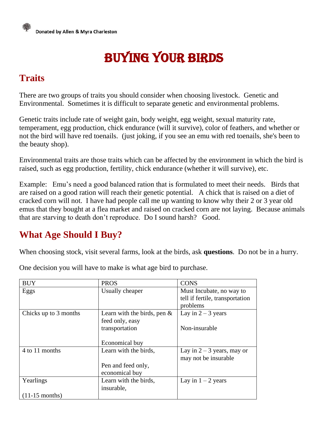# Buying your birds

## **Traits**

There are two groups of traits you should consider when choosing livestock. Genetic and Environmental. Sometimes it is difficult to separate genetic and environmental problems.

Genetic traits include rate of weight gain, body weight, egg weight, sexual maturity rate, temperament, egg production, chick endurance (will it survive), color of feathers, and whether or not the bird will have red toenails. (just joking, if you see an emu with red toenails, she's been to the beauty shop).

Environmental traits are those traits which can be affected by the environment in which the bird is raised, such as egg production, fertility, chick endurance (whether it will survive), etc.

Example: Emu's need a good balanced ration that is formulated to meet their needs. Birds that are raised on a good ration will reach their genetic potential. A chick that is raised on a diet of cracked corn will not. I have had people call me up wanting to know why their 2 or 3 year old emus that they bought at a flea market and raised on cracked corn are not laying. Because animals that are starving to death don't reproduce. Do I sound harsh? Good.

## **What Age Should I Buy?**

When choosing stock, visit several farms, look at the birds, ask **questions**. Do not be in a hurry.

BUY | PROS | CONS Eggs Usually cheaper Must Incubate, no way to tell if fertile, transportation problems Chicks up to 3 months Learn with the birds, pen  $\&$ feed only, easy transportation Economical buy Lay in  $2 - 3$  years Non-insurable 4 to 11 months Learn with the birds, Pen and feed only, economical buy Lay in  $2 - 3$  years, may or may not be insurable Yearlings (11-15 months) Learn with the birds, insurable, Lay in  $1 - 2$  years

One decision you will have to make is what age bird to purchase.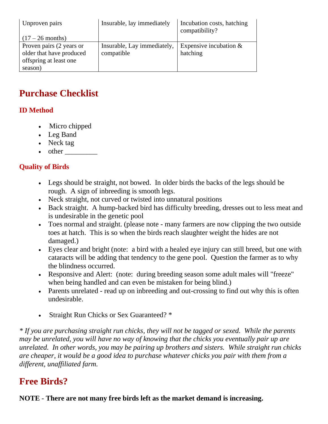| Unproven pairs           | Insurable, lay immediately  | Incubation costs, hatching<br>compatibility? |
|--------------------------|-----------------------------|----------------------------------------------|
| $(17-26$ months)         |                             |                                              |
| Proven pairs (2 years or | Insurable, Lay immediately, | Expensive incubation $&$                     |
| older that have produced | compatible                  | hatching                                     |
| offspring at least one   |                             |                                              |
| season)                  |                             |                                              |

### **Purchase Checklist**

#### **ID Method**

- Micro chipped
- Leg Band
- Neck tag
- $\bullet$  other

#### **Quality of Birds**

- Legs should be straight, not bowed. In older birds the backs of the legs should be rough. A sign of inbreeding is smooth legs.
- Neck straight, not curved or twisted into unnatural positions
- Back straight. A hump-backed bird has difficulty breeding, dresses out to less meat and is undesirable in the genetic pool
- Toes normal and straight. (please note many farmers are now clipping the two outside toes at hatch. This is so when the birds reach slaughter weight the hides are not damaged.)
- Eyes clear and bright (note: a bird with a healed eye injury can still breed, but one with cataracts will be adding that tendency to the gene pool. Question the farmer as to why the blindness occurred.
- Responsive and Alert: (note: during breeding season some adult males will "freeze" when being handled and can even be mistaken for being blind.)
- Parents unrelated read up on inbreeding and out-crossing to find out why this is often undesirable.
- Straight Run Chicks or Sex Guaranteed? \*

*\* If you are purchasing straight run chicks, they will not be tagged or sexed. While the parents may be unrelated, you will have no way of knowing that the chicks you eventually pair up are unrelated. In other words, you may be pairing up brothers and sisters. While straight run chicks are cheaper, it would be a good idea to purchase whatever chicks you pair with them from a different, unaffiliated farm.*

#### **Free Birds?**

**NOTE** - **There are not many free birds left as the market demand is increasing.**